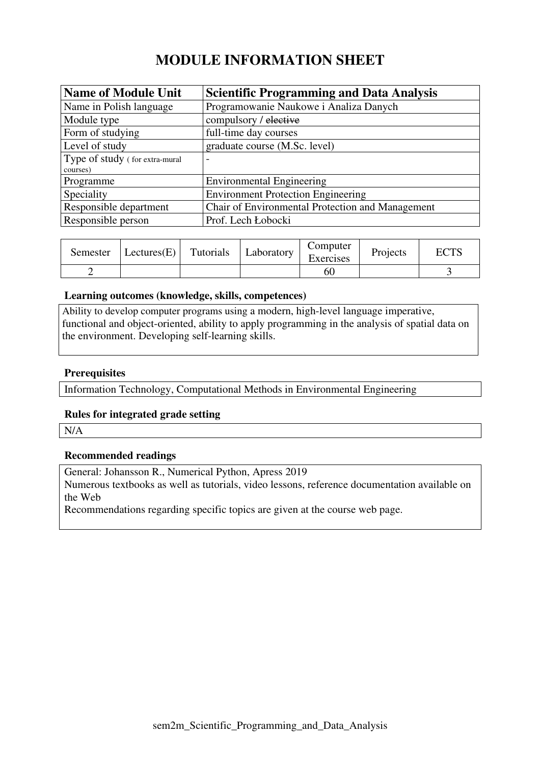# **MODULE INFORMATION SHEET**

| <b>Name of Module Unit</b>     | <b>Scientific Programming and Data Analysis</b>  |
|--------------------------------|--------------------------------------------------|
| Name in Polish language        | Programowanie Naukowe i Analiza Danych           |
| Module type                    | compulsory / elective                            |
| Form of studying               | full-time day courses                            |
| Level of study                 | graduate course (M.Sc. level)                    |
| Type of study (for extra-mural | $\overline{\phantom{0}}$                         |
| courses)                       |                                                  |
| Programme                      | <b>Environmental Engineering</b>                 |
| Speciality                     | <b>Environment Protection Engineering</b>        |
| Responsible department         | Chair of Environmental Protection and Management |
| Responsible person             | Prof. Lech Łobocki                               |

| Semester | Lectures(E) | Tutorials | Laboratory | Computer<br>Exercises | Projects | ECTS |
|----------|-------------|-----------|------------|-----------------------|----------|------|
|          |             |           |            | 60                    |          |      |

### **Learning outcomes (knowledge, skills, competences)**

Ability to develop computer programs using a modern, high-level language imperative, functional and object-oriented, ability to apply programming in the analysis of spatial data on the environment. Developing self-learning skills.

### **Prerequisites**

Information Technology, Computational Methods in Environmental Engineering

### **Rules for integrated grade setting**

N/A

### **Recommended readings**

General: Johansson R., Numerical Python, Apress 2019

Numerous textbooks as well as tutorials, video lessons, reference documentation available on the Web

Recommendations regarding specific topics are given at the course web page.